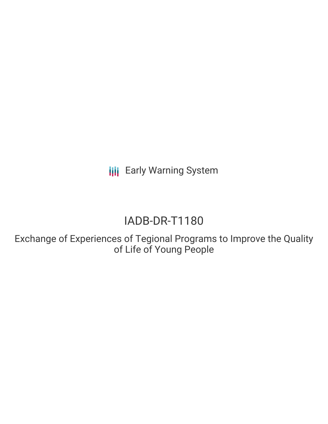**III** Early Warning System

# IADB-DR-T1180

Exchange of Experiences of Tegional Programs to Improve the Quality of Life of Young People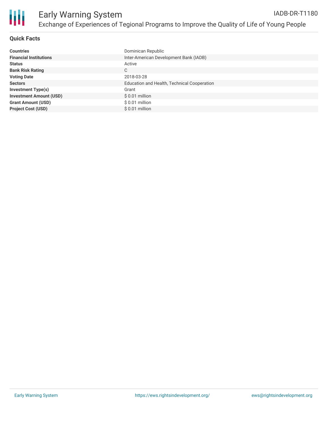

## **Quick Facts**

| <b>Countries</b>               | Dominican Republic                          |
|--------------------------------|---------------------------------------------|
| <b>Financial Institutions</b>  | Inter-American Development Bank (IADB)      |
| <b>Status</b>                  | Active                                      |
| <b>Bank Risk Rating</b>        | C                                           |
| <b>Voting Date</b>             | 2018-03-28                                  |
| <b>Sectors</b>                 | Education and Health, Technical Cooperation |
| <b>Investment Type(s)</b>      | Grant                                       |
| <b>Investment Amount (USD)</b> | $$0.01$ million                             |
| <b>Grant Amount (USD)</b>      | $$0.01$ million                             |
| <b>Project Cost (USD)</b>      | $$0.01$ million                             |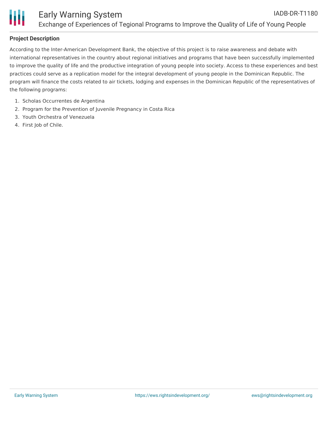

# **Project Description**

According to the Inter-American Development Bank, the objective of this project is to raise awareness and debate with international representatives in the country about regional initiatives and programs that have been successfully implemented to improve the quality of life and the productive integration of young people into society. Access to these experiences and best practices could serve as a replication model for the integral development of young people in the Dominican Republic. The program will finance the costs related to air tickets, lodging and expenses in the Dominican Republic of the representatives of the following programs:

- 1. Scholas Occurrentes de Argentina
- 2. Program for the Prevention of Juvenile Pregnancy in Costa Rica
- 3. Youth Orchestra of Venezuela
- 4. First Job of Chile.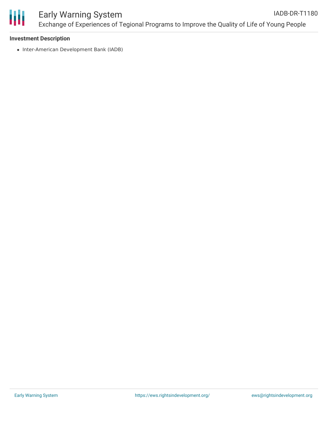

#### **Investment Description**

• Inter-American Development Bank (IADB)